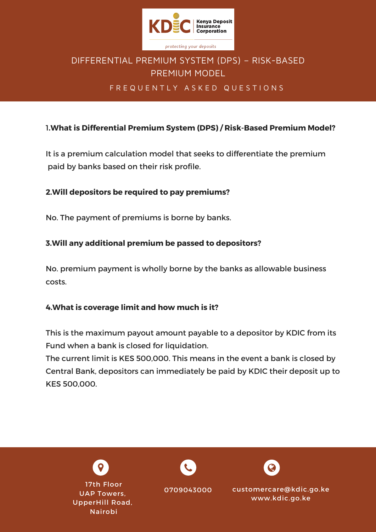

# DIFFERENTIAL PREMIUM SYSTEM (DPS) – RISK-BASED PREMIUM MODEL

# FREQUENTLY ASKED QUESTIONS

# 1**.What is Differential Premium System (DPS) / Risk-Based Premium Model?**

It is a premium calculation model that seeks to differentiate the premium paid by banks based on their risk profile.

### **2.Will depositors be required to pay premiums?**

No. The payment of premiums is borne by banks.

## **3.Will any additional premium be passed to depositors?**

No. premium payment is wholly borne by the banks as allowable business costs.

#### **4.What is coverage limit and how much is it?**

This is the maximum payout amount payable to a depositor by KDIC from its Fund when a bank is closed for liquidation.

The current limit is KES 500,000. This means in the event a bank is closed by Central Bank, depositors can immediately be paid by KDIC their deposit up to KES 500,000.

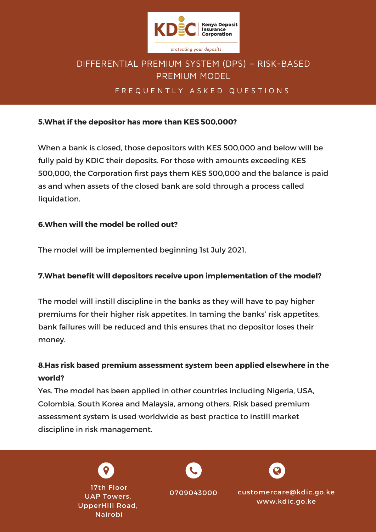

# DIFFERENTIAL PREMIUM SYSTEM (DPS) – RISK-BASED PREMIUM MODEL

### F R E Q U E N T L Y A S K E D Q U E S T I O N S

#### **5.What if the depositor has more than KES 500,000?**

When a bank is closed, those depositors with KES 500,000 and below will be fully paid by KDIC their deposits. For those with amounts exceeding KES 500,000, the Corporation first pays them KES 500,000 and the balance is paid as and when assets of the closed bank are sold through a process called liquidation.

#### **6.When will the model be rolled out?**

The model will be implemented beginning 1st July 2021.

#### **7.What benefit will depositors receive upon implementation of the model?**

The model will instill discipline in the banks as they will have to pay higher premiums for their higher risk appetites. In taming the banks' risk appetites, bank failures will be reduced and this ensures that no depositor loses their money.

# **8.Has risk based premium assessment system been applied elsewhere in the world?**

Yes. The model has been applied in other countries including Nigeria, USA, Colombia, South Korea and Malaysia, among others. Risk based premium assessment system is used worldwide as best practice to instill market discipline in risk management.

> 17th Floor UAP Towers, UpperHill Road, Nairobi





customercare@kdic.go.ke www.kdic.go.ke